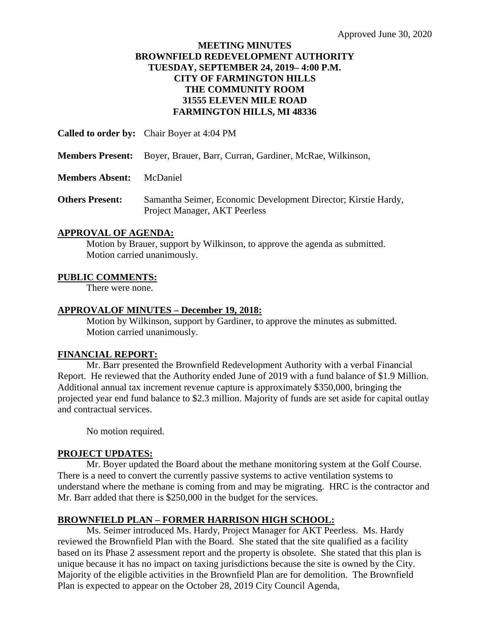## **MEETING MINUTES BROWNFIELD REDEVELOPMENT AUTHORITY TUESDAY, SEPTEMBER 24, 2019– 4:00 P.M. CITY OF FARMINGTON HILLS THE COMMUNITY ROOM 31555 ELEVEN MILE ROAD FARMINGTON HILLS, MI 48336**

**Called to order by:** Chair Boyer at 4:04 PM

**Members Present:** Boyer, Brauer, Barr, Curran, Gardiner, McRae, Wilkinson,

**Members Absent:** McDaniel

**Others Present:** Samantha Seimer, Economic Development Director; Kirstie Hardy, Project Manager, AKT Peerless

## **APPROVAL OF AGENDA:**

Motion by Brauer, support by Wilkinson, to approve the agenda as submitted. Motion carried unanimously.

## **PUBLIC COMMENTS:**

There were none.

## **APPROVALOF MINUTES – December 19, 2018:**

Motion by Wilkinson, support by Gardiner, to approve the minutes as submitted. Motion carried unanimously.

#### **FINANCIAL REPORT:**

Mr. Barr presented the Brownfield Redevelopment Authority with a verbal Financial Report. He reviewed that the Authority ended June of 2019 with a fund balance of \$1.9 Million. Additional annual tax increment revenue capture is approximately \$350,000, bringing the projected year end fund balance to \$2.3 million. Majority of funds are set aside for capital outlay and contractual services.

No motion required.

## **PROJECT UPDATES:**

Mr. Boyer updated the Board about the methane monitoring system at the Golf Course. There is a need to convert the currently passive systems to active ventilation systems to understand where the methane is coming from and may be migrating. HRC is the contractor and Mr. Barr added that there is \$250,000 in the budget for the services.

## **BROWNFIELD PLAN – FORMER HARRISON HIGH SCHOOL:**

Ms. Seimer introduced Ms. Hardy, Project Manager for AKT Peerless. Ms. Hardy reviewed the Brownfield Plan with the Board. She stated that the site qualified as a facility based on its Phase 2 assessment report and the property is obsolete. She stated that this plan is unique because it has no impact on taxing jurisdictions because the site is owned by the City. Majority of the eligible activities in the Brownfield Plan are for demolition. The Brownfield Plan is expected to appear on the October 28, 2019 City Council Agenda,